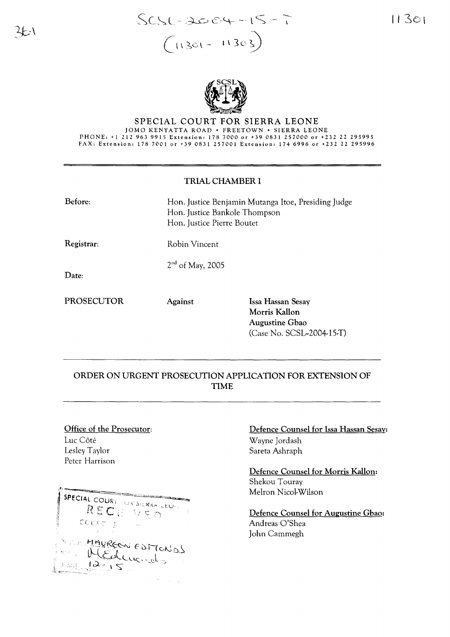

## SPECIAL COURT FOR SIERRA LEONE JOMO KENYATTA ROAD · FREETOWN · SIERRA LEONE PHONE: +1 212 963 9915 Extension: 178 7000 or +39 0831 257000 or +232 22 295995 FAX. Extension. 178 7001 or +39 0831 257001 Extension. 174 6996 or +232 22 295996

## TRIAL CHAMBER I

| Before:    | Hon. Justice Benjamin Mutanga Itoe, Presiding Judge<br>Hon. Justice Bankole Thompson<br>Hon. Justice Pierre Boutet |                                                             |
|------------|--------------------------------------------------------------------------------------------------------------------|-------------------------------------------------------------|
| Registrar: | Robin Vincent                                                                                                      |                                                             |
| Date:      | $2nd$ of May, 2005                                                                                                 |                                                             |
| PROSECUTOR | Against                                                                                                            | Issa Hassan Sesay<br>Morris Kallon<br><b>Augustine Gbao</b> |

## ORDER ON URGENT PROSECUTION APPLICATION FOR EXTENSION OF TIME

Office of the Prosecutor: Luc Côté Lesley Taylor Peter Harrison

**SPECIAL COURT OR STERKA LEON** RECEWER  $CCU \subseteq \mathbb{R}$ MAUREEN ESTIONOS MEducido  $\frac{12}{15}$ 

Defence Counsel for lssa Hassan Sesay: Wayne Jordash Sareta Ashraph

(Case No. SCSL-2004-15-T)

Defence Counsel for Morris Kallon: Shekou Touray Melron Nicol-Wilson

Defence Counsel for Augustine Gbao: Andreas O'Shea John Cammegh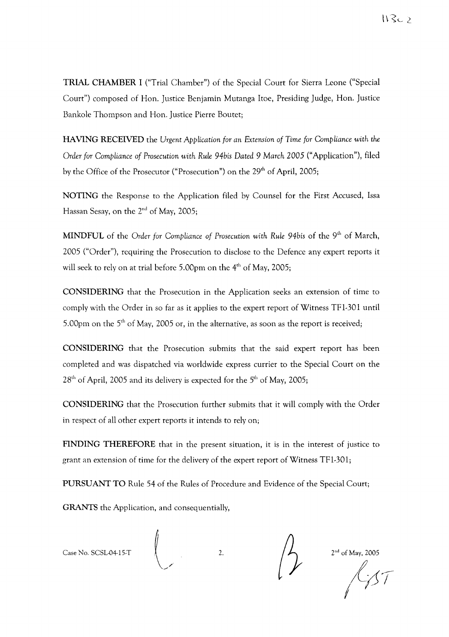TRIAL CHAMBER I ("Trial Chamber") of the Special Court for Sierra Leone ("Special Court") composed of Hon. Justice Benjamin Mutanga !toe, Presiding Judge, Hon. Justice Bankole Thompson and Hon. Justice Pierre Boutet;

HAVING RECEIVED the *Urgent Application for an* Extension *of* Time *for Compliance with the Order for Compliance of Prosecution with Rule 94bis Dated* 9 *March* 2005 ("Application"), filed by the Office of the Prosecutor ("Prosecution") on the 29<sup>th</sup> of April, 2005;

NOTING the Response to the Application filed by Counsel for the First Accused, Issa Hassan Sesay, on the  $2<sup>nd</sup>$  of May, 2005;

MINDFUL of the *Order for Compliance of Prosecution with Rule 94bis* of the 9th of March, 2005 ("Order"), requiring the Prosecution to disclose to the Defence any expert reports it will seek to rely on at trial before 5.00pm on the 4<sup>th</sup> of May, 2005;

CONSIDERING that the Prosecution in the Application seeks an extension of time to comply with the Order in so far as it applies to the expert report of Witness TFI-301 until 5.00pm on the  $5<sup>th</sup>$  of May, 2005 or, in the alternative, as soon as the report is received;

CONSIDERING that the Prosecution submits that the said expert report has been completed and was dispatched via worldwide express currier to the Special Court on the  $28<sup>th</sup>$  of April, 2005 and its delivery is expected for the 5<sup>th</sup> of May, 2005;

CONSIDERING that the Prosecution further submits that it will comply with the Order in respect of all other expert reports it intends to rely on;

FINDING THEREFORE that in the present situation, it is in the interest of justice to grant an extension of time for the delivery of the expert report of Witness TF1-301;

PURSUANT TO Rule 54 of the Rules of Procedure and Evidence of the Special Court;

GRANTS the Application, and consequentially,

Case No. SCSL-04-15-T

 $\sqrt{2.2}$  2nd of May, 2005

£AT <sup>I</sup> *7/*